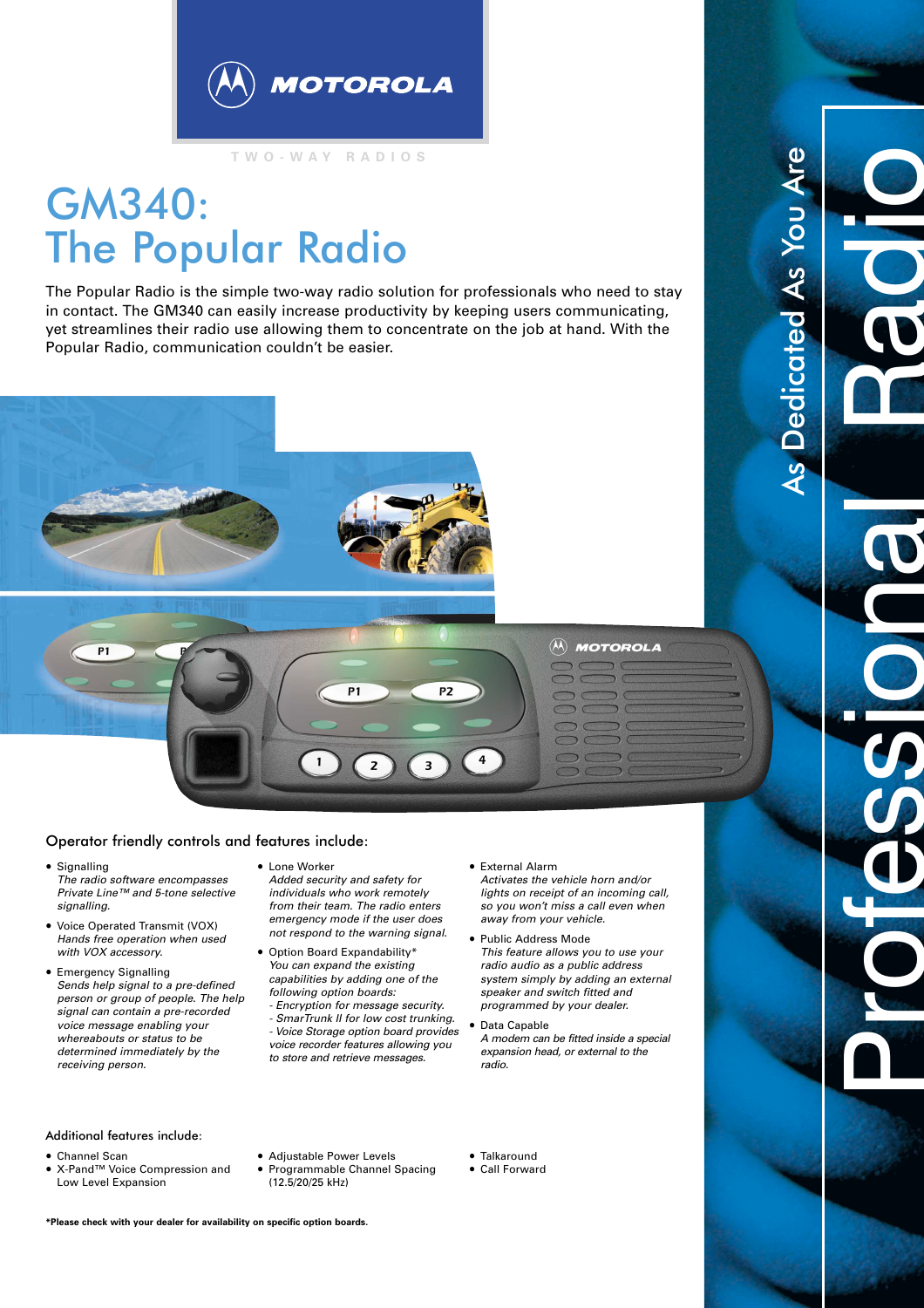

**TWO-WAY RADIOS**

## GM340: The Popular Radio

The Popular Radio is the simple two-way radio solution for professionals who need to stay in contact. The GM340 can easily increase productivity by keeping users communicating, yet streamlines their radio use allowing them to concentrate on the job at hand. With the Popular Radio, communication couldn't be easier.





## Operator friendly controls and features include:

- Signalling *The radio software encompasses Private Line™ and 5-tone selective signalling.*
- Voice Operated Transmit (VOX) *Hands free operation when used with VOX accessory.*
- Emergency Signalling *Sends help signal to a pre-defined person or group of people. The help signal can contain a pre-recorded voice message enabling your whereabouts or status to be determined immediately by the receiving person.*
- Lone Worker
- *Added security and safety for individuals who work remotely from their team. The radio enters emergency mode if the user does not respond to the warning signal.*
- Option Board Expandability\* *You can expand the existing capabilities by adding one of the following option boards:*
	- *Encryption for message security. - SmarTrunk II for low cost trunking. - Voice Storage option board provides voice recorder features allowing you to store and retrieve messages.*

## • External Alarm

*Activates the vehicle horn and/or lights on receipt of an incoming call, so you won't miss a call even when away from your vehicle.*

 $\widehat{\textbf{M}}$ 

**MOTOROLA** 

Professional Radio

As Dedicated As You Are

Dedicated As You Ar

- Public Address Mode *This feature allows you to use your radio audio as a public address system simply by adding an external speaker and switch fitted and programmed by your dealer.*
- Data Capable *A modem can be fitted inside a special expansion head, or external to the radio.*

- Additional features include:
- Channel Scan
- X-Pand™ Voice Compression and Low Level Expansion
- Adjustable Power Levels
- Programmable Channel Spacing (12.5/20/25 kHz)
- Talkaround
- Call Forward

**\*Please check with your dealer for availability on specific option boards.**